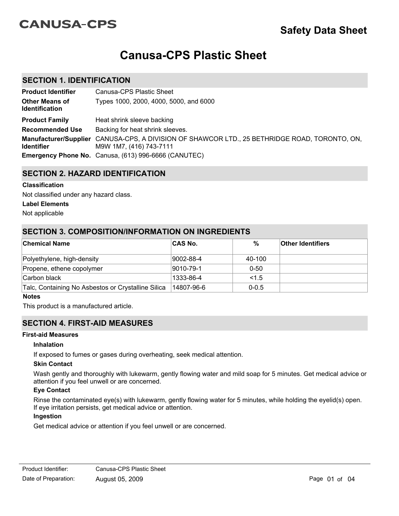# **CANUSA-CPS**

# **Canusa-CPS Plastic Sheet**

## **SECTION 1. IDENTIFICATION**

| <b>Product Identifier</b>                      | Canusa-CPS Plastic Sheet                                                                                                 |
|------------------------------------------------|--------------------------------------------------------------------------------------------------------------------------|
| <b>Other Means of</b><br><b>Identification</b> | Types 1000, 2000, 4000, 5000, and 6000                                                                                   |
| <b>Product Family</b>                          | Heat shrink sleeve backing                                                                                               |
| <b>Recommended Use</b>                         | Backing for heat shrink sleeves.                                                                                         |
| <b>Identifier</b>                              | Manufacturer/Supplier CANUSA-CPS, A DIVISION OF SHAWCOR LTD., 25 BETHRIDGE ROAD, TORONTO, ON,<br>M9W 1M7, (416) 743-7111 |
|                                                | <b>Emergency Phone No.</b> Canusa, (613) 996-6666 (CANUTEC)                                                              |

## **SECTION 2. HAZARD IDENTIFICATION**

### **Classification**

Not classified under any hazard class.

### **Label Elements**

Not applicable

### **SECTION 3. COMPOSITION/INFORMATION ON INGREDIENTS**

| <b>Chemical Name</b>                               | ∣CAS No.   | $\%$      | <b>Other Identifiers</b> |
|----------------------------------------------------|------------|-----------|--------------------------|
| Polyethylene, high-density                         | 9002-88-4  | 40-100    |                          |
| Propene, ethene copolymer                          | 9010-79-1  | $0 - 50$  |                          |
| Carbon black                                       | 1333-86-4  | 1.5       |                          |
| Talc, Containing No Asbestos or Crystalline Silica | 14807-96-6 | $0 - 0.5$ |                          |

#### **Notes**

This product is a manufactured article.

# **SECTION 4. FIRST-AID MEASURES**

### **First-aid Measures**

### **Inhalation**

If exposed to fumes or gases during overheating, seek medical attention.

### **Skin Contact**

Wash gently and thoroughly with lukewarm, gently flowing water and mild soap for 5 minutes. Get medical advice or attention if you feel unwell or are concerned.

### **Eye Contact**

Rinse the contaminated eye(s) with lukewarm, gently flowing water for 5 minutes, while holding the eyelid(s) open. If eye irritation persists, get medical advice or attention.

### **Ingestion**

Get medical advice or attention if you feel unwell or are concerned.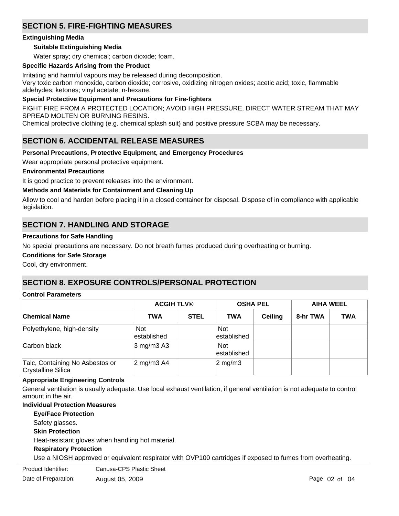# **SECTION 5. FIRE-FIGHTING MEASURES**

### **Extinguishing Media**

### **Suitable Extinguishing Media**

Water spray; dry chemical; carbon dioxide; foam.

### **Specific Hazards Arising from the Product**

Irritating and harmful vapours may be released during decomposition. Very toxic carbon monoxide, carbon dioxide; corrosive, oxidizing nitrogen oxides; acetic acid; toxic, flammable aldehydes; ketones; vinyl acetate; n-hexane.

### **Special Protective Equipment and Precautions for Fire-fighters**

FIGHT FIRE FROM A PROTECTED LOCATION; AVOID HIGH PRESSURE, DIRECT WATER STREAM THAT MAY SPREAD MOLTEN OR BURNING RESINS.

Chemical protective clothing (e.g. chemical splash suit) and positive pressure SCBA may be necessary.

## **SECTION 6. ACCIDENTAL RELEASE MEASURES**

### **Personal Precautions, Protective Equipment, and Emergency Procedures**

Wear appropriate personal protective equipment.

### **Environmental Precautions**

It is good practice to prevent releases into the environment.

### **Methods and Materials for Containment and Cleaning Up**

Allow to cool and harden before placing it in a closed container for disposal. Dispose of in compliance with applicable legislation.

## **SECTION 7. HANDLING AND STORAGE**

### **Precautions for Safe Handling**

No special precautions are necessary. Do not breath fumes produced during overheating or burning.

**Conditions for Safe Storage**

Cool, dry environment.

### **SECTION 8. EXPOSURE CONTROLS/PERSONAL PROTECTION**

### **Control Parameters**

|                                                       | <b>ACGIH TLV®</b>         |             | <b>OSHA PEL</b>           |                | <b>AIHA WEEL</b> |            |
|-------------------------------------------------------|---------------------------|-------------|---------------------------|----------------|------------------|------------|
| <b>Chemical Name</b>                                  | <b>TWA</b>                | <b>STEL</b> | <b>TWA</b>                | <b>Ceiling</b> | 8-hr TWA         | <b>TWA</b> |
| Polyethylene, high-density                            | <b>Not</b><br>established |             | <b>Not</b><br>established |                |                  |            |
| Carbon black                                          | $3$ mg/m $3$ A $3$        |             | <b>Not</b><br>established |                |                  |            |
| Talc, Containing No Asbestos or<br>Crystalline Silica | 2 mg/m3 A4                |             | $ 2 \text{ mg/m}$ 3       |                |                  |            |

### **Appropriate Engineering Controls**

General ventilation is usually adequate. Use local exhaust ventilation, if general ventilation is not adequate to control amount in the air.

### **Individual Protection Measures**

**Skin Protection Respiratory Protection Eye/Face Protection** Use a NIOSH approved or equivalent respirator with OVP100 cartridges if exposed to fumes from overheating. Heat-resistant gloves when handling hot material. Safety glasses. Date of Preparation: August 05, 2009 **Page 02 of 04** Page 02 of 04 Product Identifier: Canusa-CPS Plastic Sheet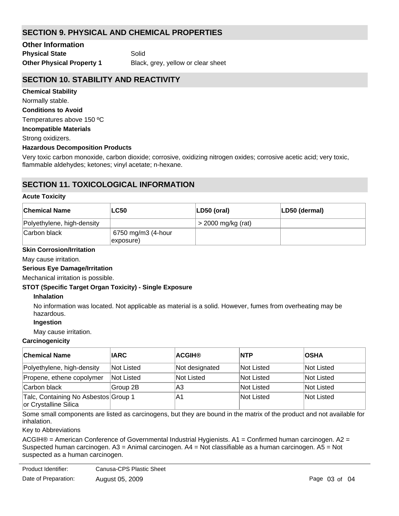# **SECTION 9. PHYSICAL AND CHEMICAL PROPERTIES**

**Physical State** Solid **Other Information**

**Other Physical Property 1** Black, grey, yellow or clear sheet

# **SECTION 10. STABILITY AND REACTIVITY**

#### **Chemical Stability**

Normally stable.

#### **Conditions to Avoid**

Temperatures above 150 ºC

### **Incompatible Materials**

Strong oxidizers.

### **Hazardous Decomposition Products**

Very toxic carbon monoxide, carbon dioxide; corrosive, oxidizing nitrogen oxides; corrosive acetic acid; very toxic, flammable aldehydes; ketones; vinyl acetate; n-hexane.

# **SECTION 11. TOXICOLOGICAL INFORMATION**

#### **Acute Toxicity**

| <b>Chemical Name</b>       | <b>LC50</b>                     | LD50 (oral)          | LD50 (dermal) |
|----------------------------|---------------------------------|----------------------|---------------|
| Polyethylene, high-density |                                 | $>$ 2000 mg/kg (rat) |               |
| Carbon black               | 6750 mg/m3 (4-hour<br>exposure) |                      |               |

### **Skin Corrosion/Irritation**

May cause irritation.

### **Serious Eye Damage/Irritation**

Mechanical irritation is possible.

### **STOT (Specific Target Organ Toxicity) - Single Exposure**

### **Inhalation**

No information was located. Not applicable as material is a solid. However, fumes from overheating may be hazardous.

### **Ingestion**

May cause irritation.

### **Carcinogenicity**

| <b>Chemical Name</b>                                          | <b>IARC</b> | <b>ACGIH®</b>  | <b>NTP</b> | <b>OSHA</b> |
|---------------------------------------------------------------|-------------|----------------|------------|-------------|
| Polyethylene, high-density                                    | Not Listed  | Not designated | Not Listed | Not Listed  |
| Propene, ethene copolymer                                     | Not Listed  | Not Listed     | Not Listed | Not Listed  |
| Carbon black                                                  | Group 2B    | lA3            | Not Listed | Not Listed  |
| Talc, Containing No Asbestos Group 1<br>or Crystalline Silica |             | IA1            | Not Listed | Not Listed  |

Some small components are listed as carcinogens, but they are bound in the matrix of the product and not available for inhalation.

### Key to Abbreviations

ACGIH® = American Conference of Governmental Industrial Hygienists. A1 = Confirmed human carcinogen. A2 = Suspected human carcinogen. A3 = Animal carcinogen. A4 = Not classifiable as a human carcinogen. A5 = Not suspected as a human carcinogen.